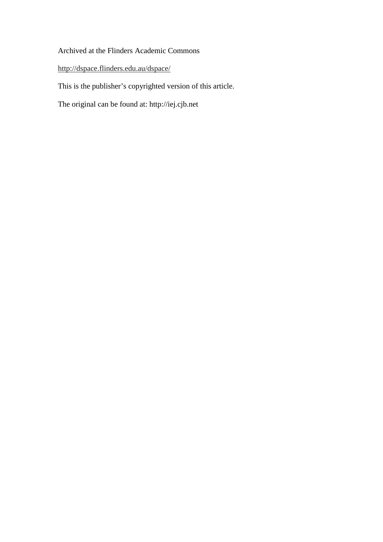# Archived at the Flinders Academic Commons

http://dspace.flinders.edu.au/dspace/

This is the publisher's copyrighted version of this article.

The original can be found at: http://iej.cjb.net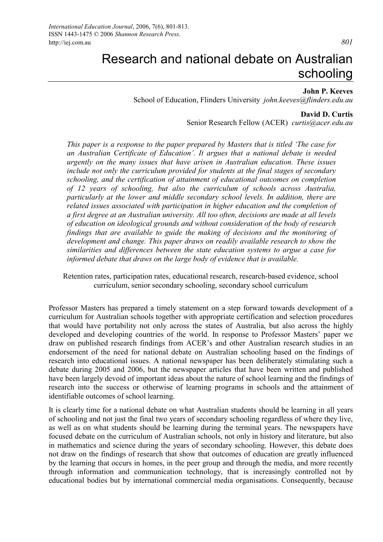**John P. Keeves** 

School of Education, Flinders University *john.keeves@flinders.edu.au*

#### **David D. Curtis**

Senior Research Fellow (ACER) *curtis@acer.edu.au*

*This paper is a response to the paper prepared by Masters that is titled 'The case for an Australian Certificate of Education'. It argues that a national debate is needed urgently on the many issues that have arisen in Australian education. These issues include not only the curriculum provided for students at the final stages of secondary schooling, and the certification of attainment of educational outcomes on completion of 12 years of schooling, but also the curriculum of schools across Australia, particularly at the lower and middle secondary school levels. In addition, there are related issues associated with participation in higher education and the completion of a first degree at an Australian university. All too often, decisions are made at all levels of education on ideological grounds and without consideration of the body of research findings that are available to guide the making of decisions and the monitoring of development and change. This paper draws on readily available research to show the similarities and differences between the state education systems to argue a case for informed debate that draws on the large body of evidence that is available.* 

Retention rates, participation rates, educational research, research-based evidence, school curriculum, senior secondary schooling, secondary school curriculum

Professor Masters has prepared a timely statement on a step forward towards development of a curriculum for Australian schools together with appropriate certification and selection procedures that would have portability not only across the states of Australia, but also across the highly developed and developing countries of the world. In response to Professor Masters' paper we draw on published research findings from ACER's and other Australian research studies in an endorsement of the need for national debate on Australian schooling based on the findings of research into educational issues. A national newspaper has been deliberately stimulating such a debate during 2005 and 2006, but the newspaper articles that have been written and published have been largely devoid of important ideas about the nature of school learning and the findings of research into the success or otherwise of learning programs in schools and the attainment of identifiable outcomes of school learning.

It is clearly time for a national debate on what Australian students should be learning in all years of schooling and not just the final two years of secondary schooling regardless of where they live, as well as on what students should be learning during the terminal years. The newspapers have focused debate on the curriculum of Australian schools, not only in history and literature, but also in mathematics and science during the years of secondary schooling. However, this debate does not draw on the findings of research that show that outcomes of education are greatly influenced by the learning that occurs in homes, in the peer group and through the media, and more recently through information and communication technology, that is increasingly controlled not by educational bodies but by international commercial media organisations. Consequently, because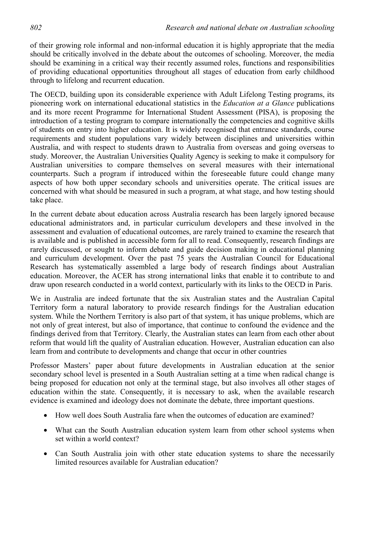of their growing role informal and non-informal education it is highly appropriate that the media should be critically involved in the debate about the outcomes of schooling. Moreover, the media should be examining in a critical way their recently assumed roles, functions and responsibilities of providing educational opportunities throughout all stages of education from early childhood through to lifelong and recurrent education.

The OECD, building upon its considerable experience with Adult Lifelong Testing programs, its pioneering work on international educational statistics in the *Education at a Glance* publications and its more recent Programme for International Student Assessment (PISA), is proposing the introduction of a testing program to compare internationally the competencies and cognitive skills of students on entry into higher education. It is widely recognised that entrance standards, course requirements and student populations vary widely between disciplines and universities within Australia, and with respect to students drawn to Australia from overseas and going overseas to study. Moreover, the Australian Universities Quality Agency is seeking to make it compulsory for Australian universities to compare themselves on several measures with their international counterparts. Such a program if introduced within the foreseeable future could change many aspects of how both upper secondary schools and universities operate. The critical issues are concerned with what should be measured in such a program, at what stage, and how testing should take place.

In the current debate about education across Australia research has been largely ignored because educational administrators and, in particular curriculum developers and these involved in the assessment and evaluation of educational outcomes, are rarely trained to examine the research that is available and is published in accessible form for all to read. Consequently, research findings are rarely discussed, or sought to inform debate and guide decision making in educational planning and curriculum development. Over the past 75 years the Australian Council for Educational Research has systematically assembled a large body of research findings about Australian education. Moreover, the ACER has strong international links that enable it to contribute to and draw upon research conducted in a world context, particularly with its links to the OECD in Paris.

We in Australia are indeed fortunate that the six Australian states and the Australian Capital Territory form a natural laboratory to provide research findings for the Australian education system. While the Northern Territory is also part of that system, it has unique problems, which are not only of great interest, but also of importance, that continue to confound the evidence and the findings derived from that Territory. Clearly, the Australian states can learn from each other about reform that would lift the quality of Australian education. However, Australian education can also learn from and contribute to developments and change that occur in other countries

Professor Masters' paper about future developments in Australian education at the senior secondary school level is presented in a South Australian setting at a time when radical change is being proposed for education not only at the terminal stage, but also involves all other stages of education within the state. Consequently, it is necessary to ask, when the available research evidence is examined and ideology does not dominate the debate, three important questions.

- How well does South Australia fare when the outcomes of education are examined?
- What can the South Australian education system learn from other school systems when set within a world context?
- Can South Australia join with other state education systems to share the necessarily limited resources available for Australian education?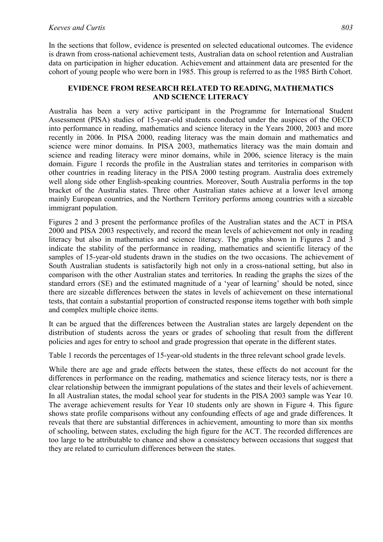In the sections that follow, evidence is presented on selected educational outcomes. The evidence is drawn from cross-national achievement tests, Australian data on school retention and Australian data on participation in higher education. Achievement and attainment data are presented for the cohort of young people who were born in 1985. This group is referred to as the 1985 Birth Cohort.

## **EVIDENCE FROM RESEARCH RELATED TO READING, MATHEMATICS AND SCIENCE LITERACY**

Australia has been a very active participant in the Programme for International Student Assessment (PISA) studies of 15-year-old students conducted under the auspices of the OECD into performance in reading, mathematics and science literacy in the Years 2000, 2003 and more recently in 2006. In PISA 2000, reading literacy was the main domain and mathematics and science were minor domains. In PISA 2003, mathematics literacy was the main domain and science and reading literacy were minor domains, while in 2006, science literacy is the main domain. Figure 1 records the profile in the Australian states and territories in comparison with other countries in reading literacy in the PISA 2000 testing program. Australia does extremely well along side other English-speaking countries. Moreover, South Australia performs in the top bracket of the Australia states. Three other Australian states achieve at a lower level among mainly European countries, and the Northern Territory performs among countries with a sizeable immigrant population.

Figures 2 and 3 present the performance profiles of the Australian states and the ACT in PISA 2000 and PISA 2003 respectively, and record the mean levels of achievement not only in reading literacy but also in mathematics and science literacy. The graphs shown in Figures 2 and 3 indicate the stability of the performance in reading, mathematics and scientific literacy of the samples of 15-year-old students drawn in the studies on the two occasions. The achievement of South Australian students is satisfactorily high not only in a cross-national setting, but also in comparison with the other Australian states and territories. In reading the graphs the sizes of the standard errors (SE) and the estimated magnitude of a 'year of learning' should be noted, since there are sizeable differences between the states in levels of achievement on these international tests, that contain a substantial proportion of constructed response items together with both simple and complex multiple choice items.

It can be argued that the differences between the Australian states are largely dependent on the distribution of students across the years or grades of schooling that result from the different policies and ages for entry to school and grade progression that operate in the different states.

Table 1 records the percentages of 15-year-old students in the three relevant school grade levels.

While there are age and grade effects between the states, these effects do not account for the differences in performance on the reading, mathematics and science literacy tests, nor is there a clear relationship between the immigrant populations of the states and their levels of achievement. In all Australian states, the modal school year for students in the PISA 2003 sample was Year 10. The average achievement results for Year 10 students only are shown in Figure 4. This figure shows state profile comparisons without any confounding effects of age and grade differences. It reveals that there are substantial differences in achievement, amounting to more than six months of schooling, between states, excluding the high figure for the ACT. The recorded differences are too large to be attributable to chance and show a consistency between occasions that suggest that they are related to curriculum differences between the states.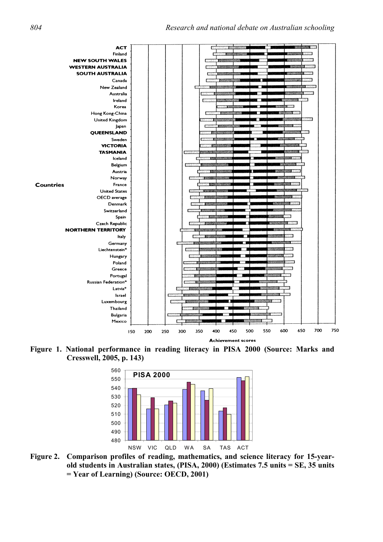

**Figure 1. National performance in reading literacy in PISA 2000 (Source: Marks and Cresswell, 2005, p. 143)** 



**Figure 2. Comparison profiles of reading, mathematics, and science literacy for 15-yearold students in Australian states, (PISA, 2000) (Estimates 7.5 units = SE, 35 units = Year of Learning) (Source: OECD, 2001)**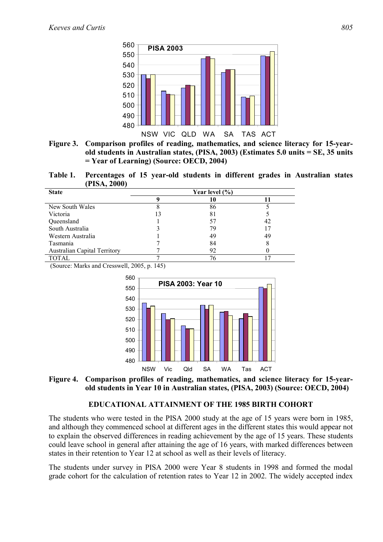

**Figure 3. Comparison profiles of reading, mathematics, and science literacy for 15-yearold students in Australian states, (PISA, 2003) (Estimates 5.0 units = SE, 35 units = Year of Learning) (Source: OECD, 2004)** 

**Table 1. Percentages of 15 year-old students in different grades in Australian states (PISA, 2000)** 

| <b>State</b>                        | Year level $(\% )$ |    |    |  |
|-------------------------------------|--------------------|----|----|--|
|                                     |                    |    |    |  |
| New South Wales                     |                    | 86 |    |  |
| Victoria                            | 13                 | 81 |    |  |
| Queensland                          |                    | 57 | 42 |  |
| South Australia                     |                    | 79 |    |  |
| Western Australia                   |                    | 49 | 49 |  |
| Tasmania                            |                    | 84 |    |  |
| <b>Australian Capital Territory</b> |                    | 92 |    |  |
| <b>TOTAL</b>                        |                    | 76 |    |  |

(Source: Marks and Cresswell, 2005, p. 145)



**Figure 4. Comparison profiles of reading, mathematics, and science literacy for 15-yearold students in Year 10 in Australian states, (PISA, 2003) (Source: OECD, 2004)** 

## **EDUCATIONAL ATTAINMENT OF THE 1985 BIRTH COHORT**

The students who were tested in the PISA 2000 study at the age of 15 years were born in 1985, and although they commenced school at different ages in the different states this would appear not to explain the observed differences in reading achievement by the age of 15 years. These students could leave school in general after attaining the age of 16 years, with marked differences between states in their retention to Year 12 at school as well as their levels of literacy.

The students under survey in PISA 2000 were Year 8 students in 1998 and formed the modal grade cohort for the calculation of retention rates to Year 12 in 2002. The widely accepted index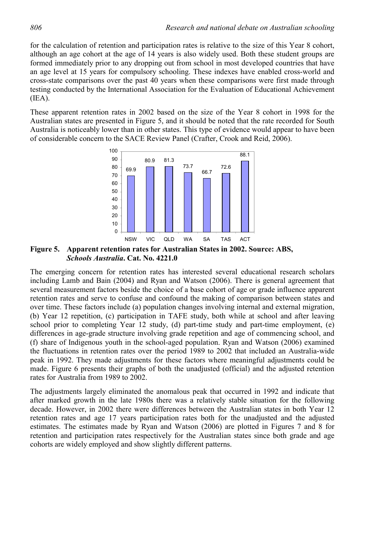for the calculation of retention and participation rates is relative to the size of this Year 8 cohort, although an age cohort at the age of 14 years is also widely used. Both these student groups are formed immediately prior to any dropping out from school in most developed countries that have an age level at 15 years for compulsory schooling. These indexes have enabled cross-world and cross-state comparisons over the past 40 years when these comparisons were first made through testing conducted by the International Association for the Evaluation of Educational Achievement  $(IEA).$ 

These apparent retention rates in 2002 based on the size of the Year 8 cohort in 1998 for the Australian states are presented in Figure 5, and it should be noted that the rate recorded for South Australia is noticeably lower than in other states. This type of evidence would appear to have been of considerable concern to the SACE Review Panel (Crafter, Crook and Reid, 2006).



**Figure 5. Apparent retention rates for Australian States in 2002. Source: ABS,**  *Schools Australia***. Cat. No. 4221.0** 

The emerging concern for retention rates has interested several educational research scholars including Lamb and Bain (2004) and Ryan and Watson (2006). There is general agreement that several measurement factors beside the choice of a base cohort of age or grade influence apparent retention rates and serve to confuse and confound the making of comparison between states and over time. These factors include (a) population changes involving internal and external migration, (b) Year 12 repetition, (c) participation in TAFE study, both while at school and after leaving school prior to completing Year 12 study, (d) part-time study and part-time employment, (e) differences in age-grade structure involving grade repetition and age of commencing school, and (f) share of Indigenous youth in the school-aged population. Ryan and Watson (2006) examined the fluctuations in retention rates over the period 1989 to 2002 that included an Australia-wide peak in 1992. They made adjustments for these factors where meaningful adjustments could be made. Figure 6 presents their graphs of both the unadjusted (official) and the adjusted retention rates for Australia from 1989 to 2002.

The adjustments largely eliminated the anomalous peak that occurred in 1992 and indicate that after marked growth in the late 1980s there was a relatively stable situation for the following decade. However, in 2002 there were differences between the Australian states in both Year 12 retention rates and age 17 years participation rates both for the unadjusted and the adjusted estimates. The estimates made by Ryan and Watson (2006) are plotted in Figures 7 and 8 for retention and participation rates respectively for the Australian states since both grade and age cohorts are widely employed and show slightly different patterns.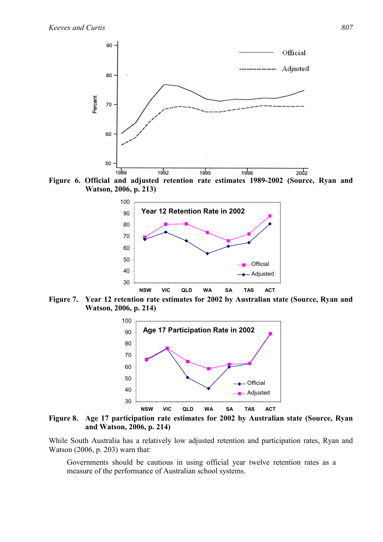

**Figure 6. Official and adjusted retention rate estimates 1989-2002 (Source, Ryan and Watson, 2006, p. 213)** 



**Figure 7. Year 12 retention rate estimates for 2002 by Australian state (Source, Ryan and Watson, 2006, p. 214)** 



**Figure 8. Age 17 participation rate estimates for 2002 by Australian state (Source, Ryan and Watson, 2006, p. 214)** 

While South Australia has a relatively low adjusted retention and participation rates, Ryan and Watson (2006, p. 203) warn that:

Governments should be cautious in using official year twelve retention rates as a measure of the performance of Australian school systems.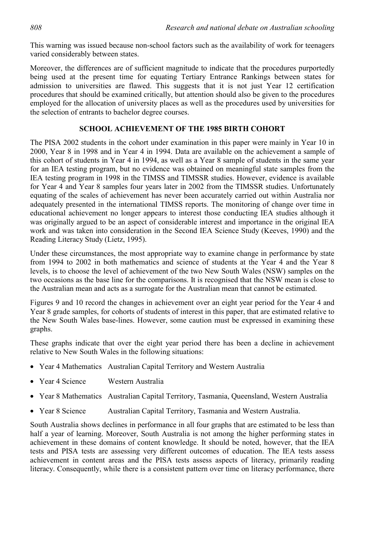This warning was issued because non-school factors such as the availability of work for teenagers varied considerably between states.

Moreover, the differences are of sufficient magnitude to indicate that the procedures purportedly being used at the present time for equating Tertiary Entrance Rankings between states for admission to universities are flawed. This suggests that it is not just Year 12 certification procedures that should be examined critically, but attention should also be given to the procedures employed for the allocation of university places as well as the procedures used by universities for the selection of entrants to bachelor degree courses.

## **SCHOOL ACHIEVEMENT OF THE 1985 BIRTH COHORT**

The PISA 2002 students in the cohort under examination in this paper were mainly in Year 10 in 2000, Year 8 in 1998 and in Year 4 in 1994. Data are available on the achievement a sample of this cohort of students in Year 4 in 1994, as well as a Year 8 sample of students in the same year for an IEA testing program, but no evidence was obtained on meaningful state samples from the IEA testing program in 1998 in the TIMSS and TIMSSR studies. However, evidence is available for Year 4 and Year 8 samples four years later in 2002 from the TIMSSR studies. Unfortunately equating of the scales of achievement has never been accurately carried out within Australia nor adequately presented in the international TIMSS reports. The monitoring of change over time in educational achievement no longer appears to interest those conducting IEA studies although it was originally argued to be an aspect of considerable interest and importance in the original IEA work and was taken into consideration in the Second IEA Science Study (Keeves, 1990) and the Reading Literacy Study (Lietz, 1995).

Under these circumstances, the most appropriate way to examine change in performance by state from 1994 to 2002 in both mathematics and science of students at the Year 4 and the Year 8 levels, is to choose the level of achievement of the two New South Wales (NSW) samples on the two occasions as the base line for the comparisons. It is recognised that the NSW mean is close to the Australian mean and acts as a surrogate for the Australian mean that cannot be estimated.

Figures 9 and 10 record the changes in achievement over an eight year period for the Year 4 and Year 8 grade samples, for cohorts of students of interest in this paper, that are estimated relative to the New South Wales base-lines. However, some caution must be expressed in examining these graphs.

These graphs indicate that over the eight year period there has been a decline in achievement relative to New South Wales in the following situations:

- Year 4 Mathematics Australian Capital Territory and Western Australia
- Year 4 Science Western Australia
- Year 8 Mathematics Australian Capital Territory, Tasmania, Queensland, Western Australia
- Year 8 Science Australian Capital Territory, Tasmania and Western Australia.

South Australia shows declines in performance in all four graphs that are estimated to be less than half a year of learning. Moreover, South Australia is not among the higher performing states in achievement in these domains of content knowledge. It should be noted, however, that the IEA tests and PISA tests are assessing very different outcomes of education. The IEA tests assess achievement in content areas and the PISA tests assess aspects of literacy, primarily reading literacy. Consequently, while there is a consistent pattern over time on literacy performance, there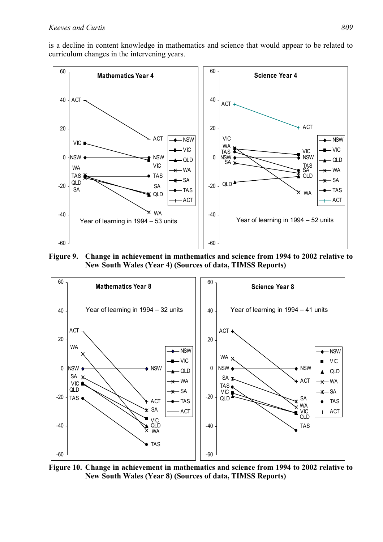is a decline in content knowledge in mathematics and science that would appear to be related to curriculum changes in the intervening years.



**Figure 9. Change in achievement in mathematics and science from 1994 to 2002 relative to New South Wales (Year 4) (Sources of data, TIMSS Reports)** 



**Figure 10. Change in achievement in mathematics and science from 1994 to 2002 relative to New South Wales (Year 8) (Sources of data, TIMSS Reports)**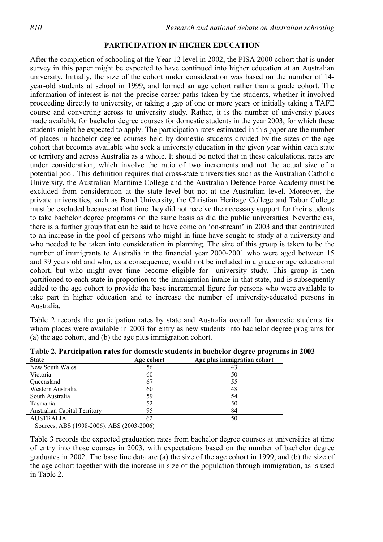#### **PARTICIPATION IN HIGHER EDUCATION**

After the completion of schooling at the Year 12 level in 2002, the PISA 2000 cohort that is under survey in this paper might be expected to have continued into higher education at an Australian university. Initially, the size of the cohort under consideration was based on the number of 14 year-old students at school in 1999, and formed an age cohort rather than a grade cohort. The information of interest is not the precise career paths taken by the students, whether it involved proceeding directly to university, or taking a gap of one or more years or initially taking a TAFE course and converting across to university study. Rather, it is the number of university places made available for bachelor degree courses for domestic students in the year 2003, for which these students might be expected to apply. The participation rates estimated in this paper are the number of places in bachelor degree courses held by domestic students divided by the sizes of the age cohort that becomes available who seek a university education in the given year within each state or territory and across Australia as a whole. It should be noted that in these calculations, rates are under consideration, which involve the ratio of two increments and not the actual size of a potential pool. This definition requires that cross-state universities such as the Australian Catholic University, the Australian Maritime College and the Australian Defence Force Academy must be excluded from consideration at the state level but not at the Australian level. Moreover, the private universities, such as Bond University, the Christian Heritage College and Tabor College must be excluded because at that time they did not receive the necessary support for their students to take bachelor degree programs on the same basis as did the public universities. Nevertheless, there is a further group that can be said to have come on 'on-stream' in 2003 and that contributed to an increase in the pool of persons who might in time have sought to study at a university and who needed to be taken into consideration in planning. The size of this group is taken to be the number of immigrants to Australia in the financial year 2000-2001 who were aged between 15 and 39 years old and who, as a consequence, would not be included in a grade or age educational cohort, but who might over time become eligible for university study. This group is then partitioned to each state in proportion to the immigration intake in that state, and is subsequently added to the age cohort to provide the base incremental figure for persons who were available to take part in higher education and to increase the number of university-educated persons in Australia.

Table 2 records the participation rates by state and Australia overall for domestic students for whom places were available in 2003 for entry as new students into bachelor degree programs for (a) the age cohort, and (b) the age plus immigration cohort.

| <b>State</b>                        | Age cohort | Age plus immigration cohort |
|-------------------------------------|------------|-----------------------------|
| New South Wales                     | 56         | 43                          |
| Victoria                            | 60         | 50                          |
| Queensland                          | 67         | 55                          |
| Western Australia                   | 60         | 48                          |
| South Australia                     | 59         | 54                          |
| Tasmania                            | 52         | 50                          |
| <b>Australian Capital Territory</b> | 95         | 84                          |
| <b>AUSTRALIA</b>                    | 62         | 50                          |

**Table 2. Participation rates for domestic students in bachelor degree programs in 2003** 

Sources, ABS (1998-2006), ABS (2003-2006)

Table 3 records the expected graduation rates from bachelor degree courses at universities at time of entry into those courses in 2003, with expectations based on the number of bachelor degree graduates in 2002. The base line data are (a) the size of the age cohort in 1999, and (b) the size of the age cohort together with the increase in size of the population through immigration, as is used in Table 2.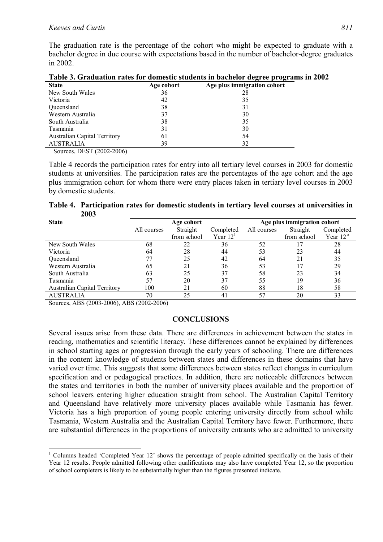The graduation rate is the percentage of the cohort who might be expected to graduate with a bachelor degree in due course with expectations based in the number of bachelor-degree graduates in 2002.

| <b>State</b>                        | Age cohort | Age plus immigration cohort |
|-------------------------------------|------------|-----------------------------|
| New South Wales                     | 36         | 28                          |
| Victoria                            | 42         | 35                          |
| Queensland                          | 38         | 31                          |
| Western Australia                   | 37         | 30                          |
| South Australia                     | 38         | 35                          |
| Tasmania                            | 31         | 30                          |
| <b>Australian Capital Territory</b> | 61         | 54                          |
| <b>AUSTRALIA</b>                    | 39         | 32                          |

**Table 3. Graduation rates for domestic students in bachelor degree programs in 2002** 

Sources, DEST (2002-2006)

Table 4 records the participation rates for entry into all tertiary level courses in 2003 for domestic students at universities. The participation rates are the percentages of the age cohort and the age plus immigration cohort for whom there were entry places taken in tertiary level courses in 2003 by domestic students.

**Table 4. Participation rates for domestic students in tertiary level courses at universities in 2003** 

| <b>State</b>                        | Age cohort  |             |                | Age plus immigration cohort |             |            |
|-------------------------------------|-------------|-------------|----------------|-----------------------------|-------------|------------|
|                                     | All courses | Straight    | Completed      | All courses                 | Straight    | Completed  |
|                                     |             | from school | Year $121$     |                             | from school | Year $12a$ |
| New South Wales                     | 68          | 22          | 36             | 52                          |             | 28         |
| Victoria                            | 64          | 28          | 44             | 53                          | 23          | 44         |
| Queensland                          |             | 25          | 42             | 64                          | 21          | 35         |
| Western Australia                   | 65          | 21          | 36             | 53                          |             | 29         |
| South Australia                     | 63          | 25          | 37             | 58                          | 23          | 34         |
| Tasmania                            | 57          | 20          | 37             | 55                          | 19          | 36         |
| <b>Australian Capital Territory</b> | 100         | 21          | 60             | 88                          | 18          | 58         |
| <b>AUSTRALIA</b>                    | 70          | 25          | $\overline{4}$ | 57                          | 20          | 33         |

Sources, ABS (2003-2006), ABS (2002-2006)

## **CONCLUSIONS**

Several issues arise from these data. There are differences in achievement between the states in reading, mathematics and scientific literacy. These differences cannot be explained by differences in school starting ages or progression through the early years of schooling. There are differences in the content knowledge of students between states and differences in these domains that have varied over time. This suggests that some differences between states reflect changes in curriculum specification and or pedagogical practices. In addition, there are noticeable differences between the states and territories in both the number of university places available and the proportion of school leavers entering higher education straight from school. The Australian Capital Territory and Queensland have relatively more university places available while Tasmania has fewer. Victoria has a high proportion of young people entering university directly from school while Tasmania, Western Australia and the Australian Capital Territory have fewer. Furthermore, there are substantial differences in the proportions of university entrants who are admitted to university

 $\overline{a}$ <sup>1</sup> Columns headed 'Completed Year 12' shows the percentage of people admitted specifically on the basis of their Year 12 results. People admitted following other qualifications may also have completed Year 12, so the proportion of school completers is likely to be substantially higher than the figures presented indicate.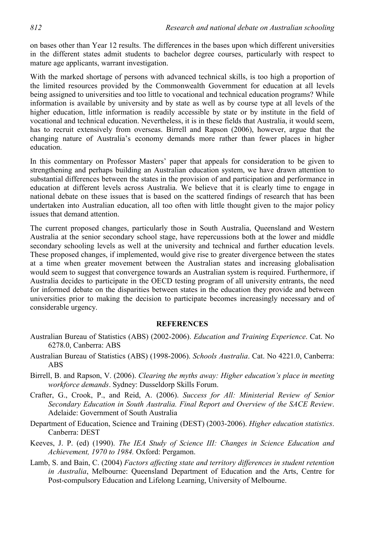on bases other than Year 12 results. The differences in the bases upon which different universities in the different states admit students to bachelor degree courses, particularly with respect to mature age applicants, warrant investigation.

With the marked shortage of persons with advanced technical skills, is too high a proportion of the limited resources provided by the Commonwealth Government for education at all levels being assigned to universities and too little to vocational and technical education programs? While information is available by university and by state as well as by course type at all levels of the higher education, little information is readily accessible by state or by institute in the field of vocational and technical education. Nevertheless, it is in these fields that Australia, it would seem, has to recruit extensively from overseas. Birrell and Rapson (2006), however, argue that the changing nature of Australia's economy demands more rather than fewer places in higher education.

In this commentary on Professor Masters' paper that appeals for consideration to be given to strengthening and perhaps building an Australian education system, we have drawn attention to substantial differences between the states in the provision of and participation and performance in education at different levels across Australia. We believe that it is clearly time to engage in national debate on these issues that is based on the scattered findings of research that has been undertaken into Australian education, all too often with little thought given to the major policy issues that demand attention.

The current proposed changes, particularly those in South Australia, Queensland and Western Australia at the senior secondary school stage, have repercussions both at the lower and middle secondary schooling levels as well at the university and technical and further education levels. These proposed changes, if implemented, would give rise to greater divergence between the states at a time when greater movement between the Australian states and increasing globalisation would seem to suggest that convergence towards an Australian system is required. Furthermore, if Australia decides to participate in the OECD testing program of all university entrants, the need for informed debate on the disparities between states in the education they provide and between universities prior to making the decision to participate becomes increasingly necessary and of considerable urgency.

#### **REFERENCES**

- Australian Bureau of Statistics (ABS) (2002-2006). *Education and Training Experience*. Cat. No 6278.0, Canberra: ABS
- Australian Bureau of Statistics (ABS) (1998-2006). *Schools Australia*. Cat. No 4221.0, Canberra: ABS
- Birrell, B. and Rapson, V. (2006). *Clearing the myths away: Higher education's place in meeting workforce demands*. Sydney: Dusseldorp Skills Forum.
- Crafter, G., Crook, P., and Reid, A. (2006). *Success for All: Ministerial Review of Senior Secondary Education in South Australia. Final Report and Overview of the SACE Review*. Adelaide: Government of South Australia
- Department of Education, Science and Training (DEST) (2003-2006). *Higher education statistics*. Canberra: DEST
- Keeves, J. P. (ed) (1990). *The IEA Study of Science III: Changes in Science Education and Achievement, 1970 to 1984.* Oxford: Pergamon.
- Lamb, S. and Bain, C. (2004) *Factors affecting state and territory differences in student retention in Australia*, Melbourne: Queensland Department of Education and the Arts, Centre for Post-compulsory Education and Lifelong Learning, University of Melbourne.